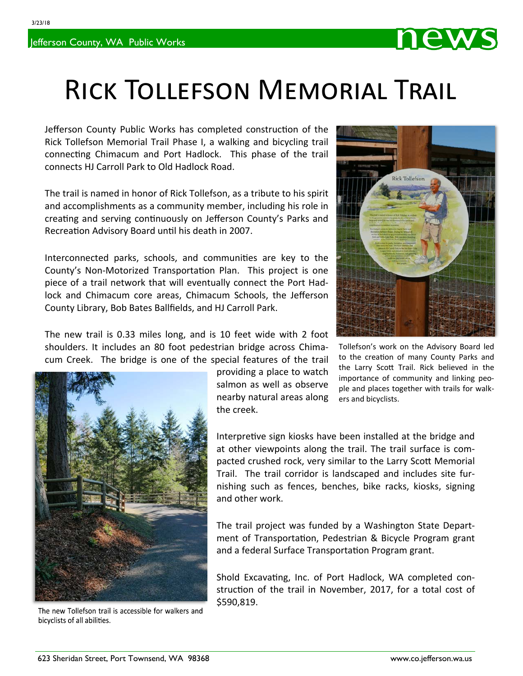

Jefferson County Public Works has completed construction of the Rick Tollefson Memorial Trail Phase I, a walking and bicycling trail connecting Chimacum and Port Hadlock. This phase of the trail connects HJ Carroll Park to Old Hadlock Road.

The trail is named in honor of Rick Tollefson, as a tribute to his spirit and accomplishments as a community member, including his role in creating and serving continuously on Jefferson County's Parks and Recreation Advisory Board until his death in 2007.

Interconnected parks, schools, and communities are key to the County's Non-Motorized Transportation Plan. This project is one piece of a trail network that will eventually connect the Port Had‐ lock and Chimacum core areas, Chimacum Schools, the Jefferson County Library, Bob Bates Ballfields, and HJ Carroll Park.



IEW

The new trail is 0.33 miles long, and is 10 feet wide with 2 foot shoulders. It includes an 80 foot pedestrian bridge across Chima‐ cum Creek. The bridge is one of the special features of the trail



The new Tollefson trail is accessible for walkers and bicyclists of all abilities.

providing a place to watch salmon as well as observe nearby natural areas along the creek.

Tollefson's work on the Advisory Board led to the creation of many County Parks and the Larry Scott Trail. Rick believed in the importance of community and linking peo‐ ple and places together with trails for walk‐ ers and bicyclists.

Interpretive sign kiosks have been installed at the bridge and at other viewpoints along the trail. The trail surface is com‐ pacted crushed rock, very similar to the Larry Scott Memorial Trail. The trail corridor is landscaped and includes site fur‐ nishing such as fences, benches, bike racks, kiosks, signing and other work.

360.385.9160

The trail project was funded by a Washington State Depart‐ ment of Transportation, Pedestrian & Bicycle Program grant and a federal Surface Transportation Program grant.

Shold Excavating, Inc. of Port Hadlock, WA completed construction of the trail in November, 2017, for a total cost of \$590,819.